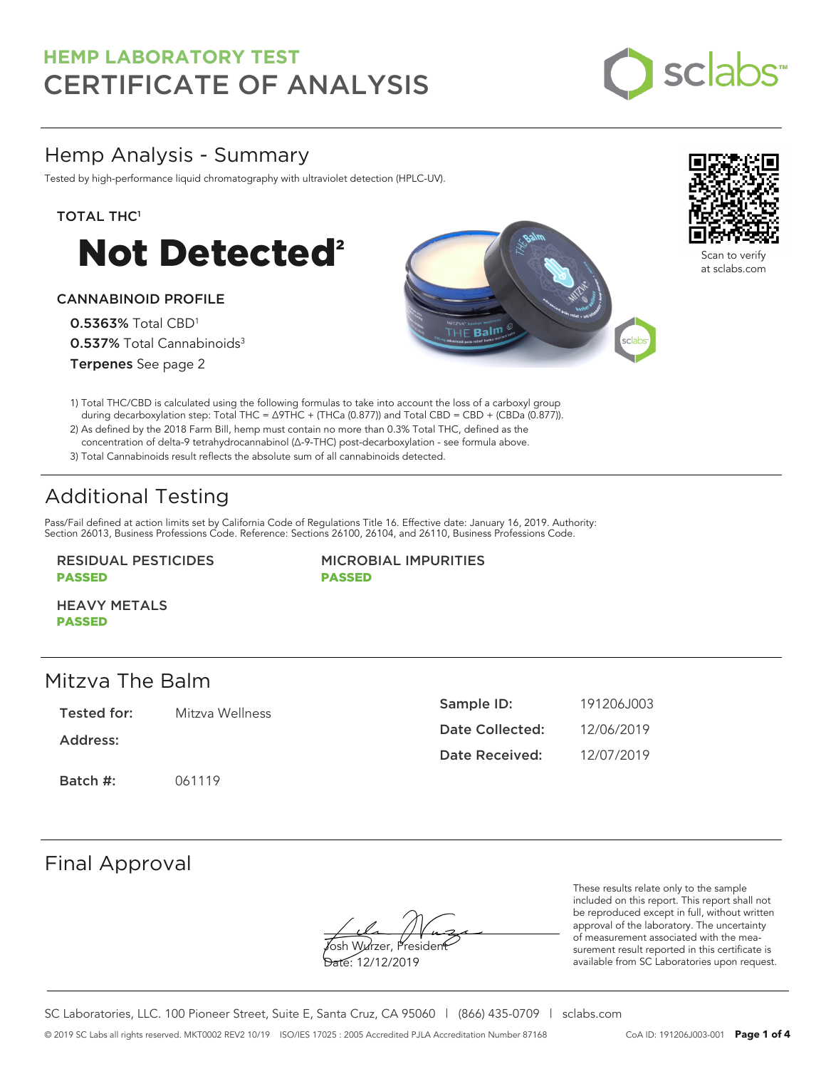

## Hemp Analysis - Summary

Tested by high-performance liquid chromatography with ultraviolet detection (HPLC-UV).

#### TOTAL THC<sup>1</sup>



### CANNABINOID PROFILE

0.5363% Total CBD<sup>1</sup> 0.537% Total Cannabinoids<sup>3</sup> Terpenes See page 2





Scan to verify at sclabs.com

- 1) Total THC/CBD is calculated using the following formulas to take into account the loss of a carboxyl group during decarboxylation step: Total THC = ∆9THC + (THCa (0.877)) and Total CBD = CBD + (CBDa (0.877)).
- 2) As defined by the 2018 Farm Bill, hemp must contain no more than 0.3% Total THC, defined as the concentration of delta-9 tetrahydrocannabinol (Δ-9-THC) post-decarboxylation - see formula above.
- 3) Total Cannabinoids result reflects the absolute sum of all cannabinoids detected.

# Additional Testing

Pass/Fail defined at action limits set by California Code of Regulations Title 16. Effective date: January 16, 2019. Authority: Section 26013, Business Professions Code. Reference: Sections 26100, 26104, and 26110, Business Professions Code.

#### RESIDUAL PESTICIDES PASSED

MICROBIAL IMPURITIES PASSED

HEAVY METALS PASSED

## Mitzva The Balm

Tested for: Mitzva Wellness

Address:

Batch #: 061119

| Sample ID:      | 191206.1003 |
|-----------------|-------------|
| Date Collected: | 12/06/2019  |
| Date Received:  | 12/07/2019  |

## Final Approval

osh Wurzer, Presider

Date: 12/12/2019

These results relate only to the sample included on this report. This report shall not be reproduced except in full, without written approval of the laboratory. The uncertainty of measurement associated with the measurement result reported in this certificate is available from SC Laboratories upon request.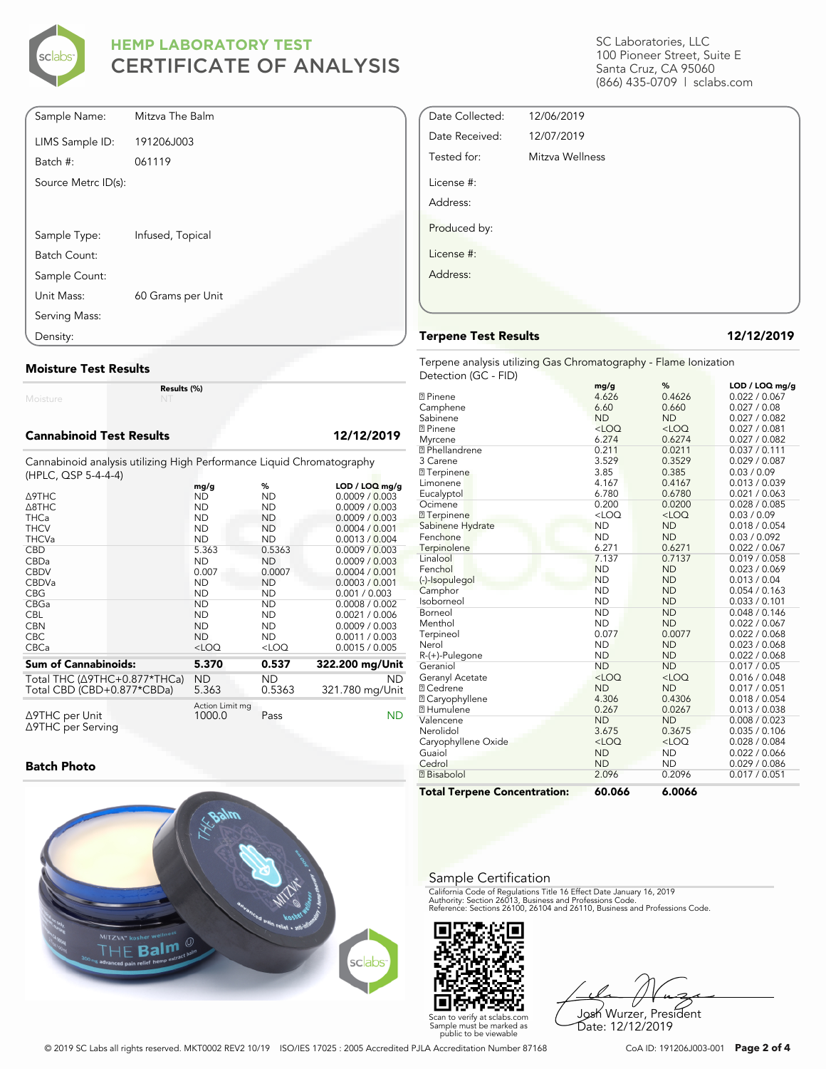

| Sample Name:        | Mitzva The Balm   |
|---------------------|-------------------|
| LIMS Sample ID:     | 191206J003        |
| Batch #:            | 061119            |
| Source Metrc ID(s): |                   |
|                     |                   |
|                     |                   |
| Sample Type:        | Infused, Topical  |
| Batch Count:        |                   |
| Sample Count:       |                   |
| Unit Mass:          | 60 Grams per Unit |
| Serving Mass:       |                   |
| Density:            |                   |

#### **Moisture Test Results**

Moisture

#### **Cannabinoid Test Results 12/12/2019**

Cannabinoid analysis utilizing High Performance Liquid Chromatography (HPLC, QSP 5-4-4-4)

**Results (%)**

|                                     | mg/g                      | %         | $LOD / LOQ$ mg/g |
|-------------------------------------|---------------------------|-----------|------------------|
| Δ9THC                               | <b>ND</b>                 | <b>ND</b> | 0.0009 / 0.003   |
| $\triangle$ 8THC                    | <b>ND</b>                 | <b>ND</b> | 0.0009 / 0.003   |
| <b>THCa</b>                         | <b>ND</b>                 | <b>ND</b> | 0.0009 / 0.003   |
| <b>THCV</b>                         | <b>ND</b>                 | <b>ND</b> | 0.0004 / 0.001   |
| <b>THCVa</b>                        | <b>ND</b>                 | <b>ND</b> | 0.0013 / 0.004   |
| <b>CBD</b>                          | 5.363                     | 0.5363    | 0.0009 / 0.003   |
| CBDa                                | <b>ND</b>                 | <b>ND</b> | 0.0009 / 0.003   |
| <b>CBDV</b>                         | 0.007                     | 0.0007    | 0.0004 / 0.001   |
| <b>CBDVa</b>                        | <b>ND</b>                 | <b>ND</b> | 0.0003 / 0.001   |
| <b>CBG</b>                          | <b>ND</b>                 | ND        | 0.001 / 0.003    |
| <b>CBGa</b>                         | <b>ND</b>                 | <b>ND</b> | 0.0008 / 0.002   |
| <b>CBL</b>                          | <b>ND</b>                 | <b>ND</b> | 0.0021 / 0.006   |
| <b>CBN</b>                          | <b>ND</b>                 | <b>ND</b> | 0.0009 / 0.003   |
| <b>CBC</b>                          | <b>ND</b>                 | <b>ND</b> | 0.0011 / 0.003   |
| <b>CBCa</b>                         | $<$ LOQ                   | $<$ LOQ   | 0.0015 / 0.005   |
| <b>Sum of Cannabinoids:</b>         | 5.370                     | 0.537     | 322.200 mg/Unit  |
| Total THC (Δ9THC+0.877*THCa)        | <b>ND</b>                 | ND        | <b>ND</b>        |
| Total CBD (CBD+0.877*CBDa)          | 5.363                     | 0.5363    | 321.780 mg/Unit  |
| ∆9THC per Unit<br>∆9THC per Serving | Action Limit mg<br>1000.0 | Pass      | ND               |

#### **Batch Photo**



SC Laboratories, LLC 100 Pioneer Street, Suite E Santa Cruz, CA 95060 (866) 435-0709 | sclabs.com

| Date Collected: | 12/06/2019      |  |
|-----------------|-----------------|--|
| Date Received:  | 12/07/2019      |  |
| Tested for:     | Mitzva Wellness |  |
| License #:      |                 |  |
| Address:        |                 |  |
| Produced by:    |                 |  |
| License #:      |                 |  |
| Address:        |                 |  |
|                 |                 |  |
|                 |                 |  |

#### **Terpene Test Results 12/12/2019**

Terpene analysis utilizing Gas Chromatography - Flame Ionization Detection (GC - FID)

|                                     | mg/g      | %         | LOD / LOQ mg/g |
|-------------------------------------|-----------|-----------|----------------|
| <b>2</b> Pinene                     | 4.626     | 0.4626    | 0.022 / 0.067  |
| Camphene                            | 6.60      | 0.660     | 0.027 / 0.08   |
| Sabinene                            | <b>ND</b> | <b>ND</b> | 0.027 / 0.082  |
| <b>2</b> Pinene                     | $<$ LOQ   | $<$ LOQ   | 0.027 / 0.081  |
| Myrcene                             | 6.274     | 0.6274    | 0.027 / 0.082  |
| <sup>2</sup> Phellandrene           | 0.211     | 0.0211    | 0.037 / 0.111  |
| 3 Carene                            | 3.529     | 0.3529    | 0.029 / 0.087  |
| <b>7</b> Terpinene                  | 3.85      | 0.385     | 0.03 / 0.09    |
| Limonene                            | 4.167     | 0.4167    | 0.013 / 0.039  |
| Eucalyptol                          | 6.780     | 0.6780    | 0.021 / 0.063  |
| Ocimene                             | 0.200     | 0.0200    | 0.028 / 0.085  |
| <b>7</b> Terpinene                  | $<$ LOQ   | $<$ LOQ   | 0.03 / 0.09    |
| Sabinene Hydrate                    | <b>ND</b> | <b>ND</b> | 0.018 / 0.054  |
| Fenchone                            | <b>ND</b> | <b>ND</b> | 0.03 / 0.092   |
| Terpinolene                         | 6.271     | 0.6271    | 0.022 / 0.067  |
| Linalool                            | 7.137     | 0.7137    | 0.019 / 0.058  |
| Fenchol                             | <b>ND</b> | <b>ND</b> | 0.023 / 0.069  |
| (-)-Isopulegol                      | <b>ND</b> | <b>ND</b> | 0.013 / 0.04   |
| Camphor                             | <b>ND</b> | <b>ND</b> | 0.054 / 0.163  |
| Isoborneol                          | <b>ND</b> | <b>ND</b> | 0.033 / 0.101  |
| Borneol                             | <b>ND</b> | <b>ND</b> | 0.048 / 0.146  |
| Menthol                             | <b>ND</b> | <b>ND</b> | 0.022 / 0.067  |
| Terpineol                           | 0.077     | 0.0077    | 0.022 / 0.068  |
| Nerol                               | <b>ND</b> | <b>ND</b> | 0.023 / 0.068  |
| R-(+)-Pulegone                      | <b>ND</b> | <b>ND</b> | 0.022 / 0.068  |
| Geraniol                            | <b>ND</b> | <b>ND</b> | 0.017 / 0.05   |
| Geranyl Acetate                     | $<$ LOQ   | $<$ LOQ   | 0.016 / 0.048  |
| <b>7 Cedrene</b>                    | <b>ND</b> | <b>ND</b> | 0.017 / 0.051  |
| <b>2 Caryophyllene</b>              | 4.306     | 0.4306    | 0.018 / 0.054  |
| <b>7 Humulene</b>                   | 0.267     | 0.0267    | 0.013 / 0.038  |
| Valencene                           | <b>ND</b> | <b>ND</b> | 0.008 / 0.023  |
| Nerolidol                           | 3.675     | 0.3675    | 0.035 / 0.106  |
| Caryophyllene Oxide                 | $<$ LOQ   | $<$ LOQ   | 0.028 / 0.084  |
| Guaiol                              | <b>ND</b> | <b>ND</b> | 0.022 / 0.066  |
| Cedrol                              | <b>ND</b> | <b>ND</b> | 0.029 / 0.086  |
| <b>7</b> Bisabolol                  | 2.096     | 0.2096    | 0.017 / 0.051  |
| <b>Total Terpene Concentration:</b> | 60.066    | 6.0066    |                |

#### Sample Certification

California Code of Regulations Title 16 Effect Date January 16, 2019<br>Authority: Section 26013, Business and Professions Code.<br>Reference: Sections 26100, 26104 and 26110, Business and Professions Code.



Josh Wurzer, President Date: 12/12/2019

© 2019 SC Labs all rights reserved. MKT0002 REV2 10/19 ISO/IES 17025 : 2005 Accredited PJLA Accreditation Number 87168 CoA ID: 191206J003-001 **Page 2 of 4**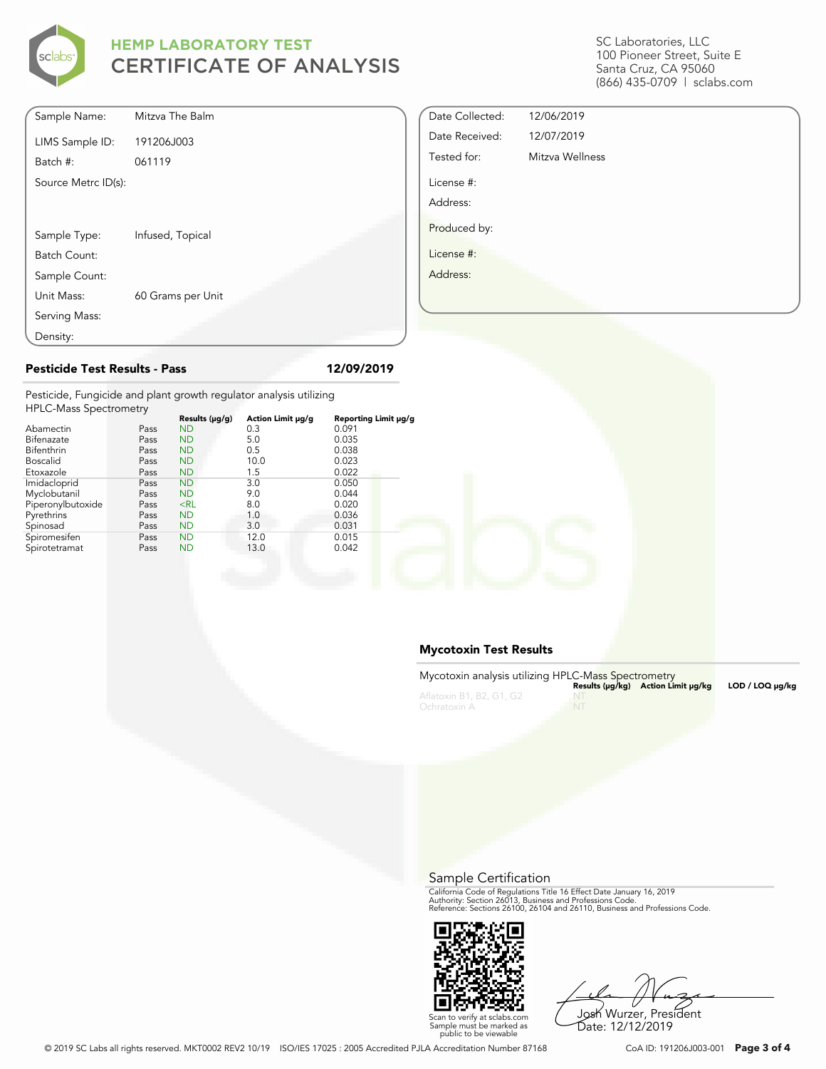

| Sample Name:        | Mitzva The Balm   |
|---------------------|-------------------|
| LIMS Sample ID:     | 191206J003        |
| Batch #:            | 061119            |
| Source Metrc ID(s): |                   |
|                     |                   |
|                     |                   |
| Sample Type:        | Infused, Topical  |
| Batch Count:        |                   |
| Sample Count:       |                   |
| Unit Mass:          | 60 Grams per Unit |
| Serving Mass:       |                   |
| Density:            |                   |

#### SC Laboratories, LLC 100 Pioneer Street, Suite E Santa Cruz, CA 95060 (866) 435-0709 | sclabs.com

| Date Collected: | 12/06/2019      |
|-----------------|-----------------|
| Date Received:  | 12/07/2019      |
| Tested for:     | Mitzva Wellness |
| License #:      |                 |
| Address:        |                 |
| Produced by:    |                 |
| License #:      |                 |
| Address:        |                 |
|                 |                 |
|                 |                 |

## **Pesticide Test Results - Pass 12/09/2019**

Pesticide, Fungicide and plant growth regulator analysis utilizing  $H<sub>1</sub>$ 

| <b>FIFLC-Mass Spectrometry</b> |      |                     |                   |                      |  |  |
|--------------------------------|------|---------------------|-------------------|----------------------|--|--|
|                                |      | Results $(\mu g/g)$ | Action Limit µg/g | Reporting Limit µg/g |  |  |
| Abamectin                      | Pass | <b>ND</b>           | 0.3               | 0.091                |  |  |
| Bifenazate                     | Pass | <b>ND</b>           | 5.0               | 0.035                |  |  |
| Bifenthrin                     | Pass | <b>ND</b>           | 0.5               | 0.038                |  |  |
| <b>Boscalid</b>                | Pass | <b>ND</b>           | 10.0              | 0.023                |  |  |
| Etoxazole                      | Pass | <b>ND</b>           | 1.5               | 0.022                |  |  |
| Imidacloprid                   | Pass | <b>ND</b>           | 3.0               | 0.050                |  |  |
| Myclobutanil                   | Pass | <b>ND</b>           | 9.0               | 0.044                |  |  |
| Piperonylbutoxide              | Pass | $<$ RL              | 8.0               | 0.020                |  |  |
| Pyrethrins                     | Pass | <b>ND</b>           | 1.0               | 0.036                |  |  |
| Spinosad                       | Pass | <b>ND</b>           | 3.0               | 0.031                |  |  |
| Spiromesifen                   | Pass | <b>ND</b>           | 12.0              | 0.015                |  |  |
| Spirotetramat                  | Pass | <b>ND</b>           | 13.0              | 0.042                |  |  |
|                                |      |                     |                   |                      |  |  |

#### **Mycotoxin Test Results**

| Mycotoxin analysis utilizing HPLC-Mass Spectrometry |      | Results (µq/kq) Action Limit µq/kq | LOD / LOQ µq/kq |
|-----------------------------------------------------|------|------------------------------------|-----------------|
| Aflatoxin B1, B2, G1, G2<br>Ochratoxin A            | - NT |                                    |                 |

Sample Certification

California Code of Regulations Title 16 Effect Date January 16, 2019<br>Authority: Section 26013, Business and Professions Code.<br>Reference: Sections 26100, 26104 and 26110, Business and Professions Code.



Josh Wurzer, President

Scan to verify at sclabs.com Sample must be marked as public to be viewable Date: 12/12/2019